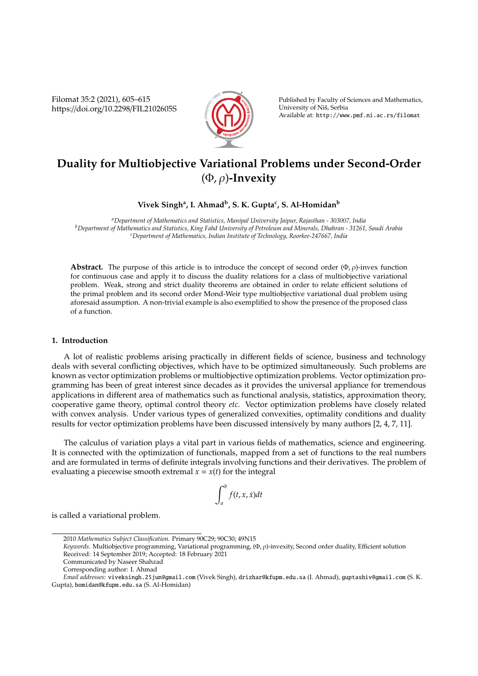Filomat 35:2 (2021), 605–615 https://doi.org/10.2298/FIL2102605S



Published by Faculty of Sciences and Mathematics, University of Niš, Serbia Available at: http://www.pmf.ni.ac.rs/filomat

# **Duality for Multiobjective Variational Problems under Second-Order** (Φ, ρ)**-Invexity**

## **Vivek Singh<sup>a</sup> , I. Ahmad<sup>b</sup> , S. K. Gupta<sup>c</sup> , S. Al-Homidan<sup>b</sup>**

*<sup>a</sup>Department of Mathematics and Statistics, Manipal University Jaipur, Rajasthan - 303007, India <sup>b</sup>Department of Mathematics and Statistics, King Fahd University of Petroleum and Minerals, Dhahran - 31261, Saudi Arabia <sup>c</sup>Department of Mathematics, Indian Institute of Technology, Roorkee-247667, India*

**Abstract.** The purpose of this article is to introduce the concept of second order  $(\Phi, \rho)$ -invex function for continuous case and apply it to discuss the duality relations for a class of multiobjective variational problem. Weak, strong and strict duality theorems are obtained in order to relate efficient solutions of the primal problem and its second order Mond-Weir type multiobjective variational dual problem using aforesaid assumption. A non-trivial example is also exemplified to show the presence of the proposed class of a function.

## **1. Introduction**

A lot of realistic problems arising practically in different fields of science, business and technology deals with several conflicting objectives, which have to be optimized simultaneously. Such problems are known as vector optimization problems or multiobjective optimization problems. Vector optimization programming has been of great interest since decades as it provides the universal appliance for tremendous applications in different area of mathematics such as functional analysis, statistics, approximation theory, cooperative game theory, optimal control theory *etc*. Vector optimization problems have closely related with convex analysis. Under various types of generalized convexities, optimality conditions and duality results for vector optimization problems have been discussed intensively by many authors [2, 4, 7, 11].

The calculus of variation plays a vital part in various fields of mathematics, science and engineering. It is connected with the optimization of functionals, mapped from a set of functions to the real numbers and are formulated in terms of definite integrals involving functions and their derivatives. The problem of evaluating a piecewise smooth extremal  $x = x(t)$  for the integral

$$
\int_a^b f(t,x,\dot{x})dt
$$

is called a variational problem.

<sup>2010</sup> *Mathematics Subject Classification*. Primary 90C29; 90C30; 49N15

*Keywords*. Multiobjective programming, Variational programming, (Φ, ρ)-invexity, Second order duality, Efficient solution Received: 14 September 2019; Accepted: 18 February 2021

Communicated by Naseer Shahzad

Corresponding author: I. Ahmad

*Email addresses:* viveksingh.25jun@gmail.com (Vivek Singh), drizhar@kfupm.edu.sa (I. Ahmad), guptashiv@gmail.com (S. K. Gupta), homidan@kfupm.edu.sa (S. Al-Homidan)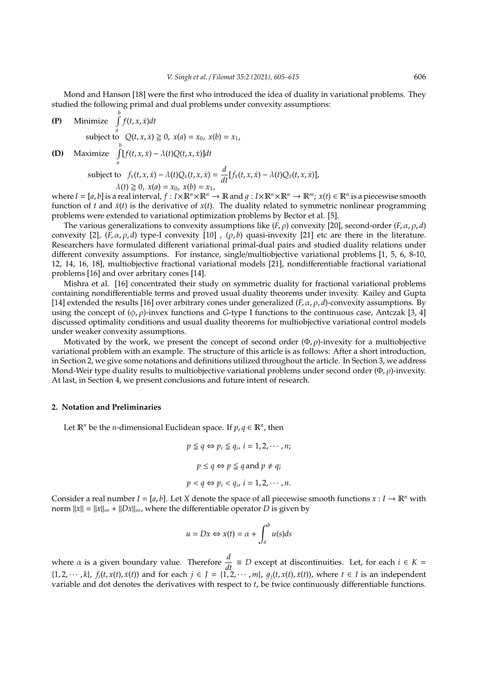Mond and Hanson [18] were the first who introduced the idea of duality in variational problems. They studied the following primal and dual problems under convexity assumptions:

(P) Minimize 
$$
\int_{a}^{b} f(t, x, \dot{x}) dt
$$

\nsubject to  $Q(t, x, \dot{x}) \geq 0$ ,  $x(a) = x_0$ ,  $x(b) = x_1$ ,

\n(D) Maximize 
$$
\int_{a}^{b} [f(t, x, \dot{x}) - \lambda(t)Q(t, x, \dot{x})] dt
$$

\nsubject to  $f_x(t, x, \dot{x}) - \lambda(t)Q_x(t, x, \dot{x}) = \frac{d}{dt}[f_{\dot{x}}(t, x, \dot{x}) - \lambda(t)Q_{\dot{x}}(t, x, \dot{x})],$ 

\n $\lambda(t) \geq 0$ ,  $x(a) = x_0$ ,  $x(b) = x_1$ ,

where  $I = [a, b]$  is a real interval,  $f : I \times \mathbb{R}^n \times \mathbb{R}^n \to \mathbb{R}$  and  $g : I \times \mathbb{R}^n \times \mathbb{R}^n \to \mathbb{R}^m$ ;  $x(t) \in \mathbb{R}^n$  is a piecewise smooth function of  $t$  and  $\dot{x}(t)$  is the derivative of  $x(t)$ . The duality related to symmetric nonlinear programming problems were extended to variational optimization problems by Bector et al. [5].

The various generalizations to convexity assumptions like  $(F, \rho)$  convexity [20], second-order  $(F, \alpha, \rho, d)$ convexity [2],  $(F, \alpha, \rho, d)$  type-I convexity [10],  $(\rho, b)$  quasi-invexity [21] etc are there in the literature. Researchers have formulated different variational primal-dual pairs and studied duality relations under different convexity assumptions. For instance, single/multiobjective variational problems [1, 5, 6, 8-10, 12, 14, 16, 18], multiobjective fractional variational models [21], nondifferentiable fractional variational problems [16] and over arbritary cones [14].

Mishra et al. [16] concentrated their study on symmetric duality for fractional variational problems containing nondifferentiable terms and proved usual duality theorems under invexity. Kailey and Gupta [14] extended the results [16] over arbitrary cones under generalized  $(F, \alpha, \rho, d)$ -convexity assumptions. By using the concept of  $(\phi, \rho)$ -invex functions and *G*-type I functions to the continuous case, Antczak [3, 4] discussed optimality conditions and usual duality theorems for multiobjective variational control models under weaker convexity assumptions.

Motivated by the work, we present the concept of second order  $(\Phi, \rho)$ -invexity for a multiobjective variational problem with an example. The structure of this article is as follows: After a short introduction, in Section 2, we give some notations and definitions utilized throughout the article. In Section 3, we address Mond-Weir type duality results to multiobjective variational problems under second order ( $\Phi$ , $\rho$ )-invexity. At last, in Section 4, we present conclusions and future intent of research.

### **2. Notation and Preliminaries**

Let  $\mathbb{R}^n$  be the *n*-dimensional Euclidean space. If  $p, q \in \mathbb{R}^n$ , then

$$
p \leq q \Leftrightarrow p_i \leq q_i, i = 1, 2, \cdots, n;
$$
  

$$
p \leq q \Leftrightarrow p \leq q \text{ and } p \neq q;
$$
  

$$
p < q \Leftrightarrow p_i < q_i, i = 1, 2, \cdots, n.
$$

Consider a real number  $I = [a, b]$ . Let *X* denote the space of all piecewise smooth functions  $x : I \to \mathbb{R}^n$  with norm  $||x|| = ||x||_{\infty} + ||Dx||_{\infty}$ , where the differentiable operator *D* is given by

$$
u = Dx \Leftrightarrow x(t) = \alpha + \int_{a}^{b} u(s)ds
$$

where  $\alpha$  is a given boundary value. Therefore  $\frac{d}{dt} \equiv D$  except at discontinuities. Let, for each  $i \in K =$  $\{1, 2, \dots, k\}$ ,  $f_i(t, x(t), \dot{x}(t))$  and for each  $j \in J = \{1, 2, \dots, m\}$ ,  $g_j(t, x(t), \dot{x}(t))$ , where  $t \in I$  is an independent variable and dot denotes the derivatives with respect to *t*, be twice continuously differentiable functions.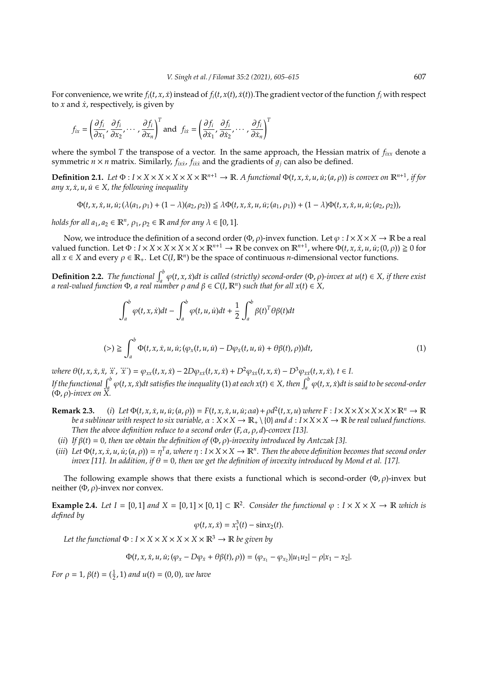For convenience, we write  $f_i(t, x, \dot{x})$  instead of  $f_i(t, x(t), \dot{x}(t))$ . The gradient vector of the function  $f_i$  with respect to *x* and  $\dot{x}$ , respectively, is given by

$$
f_{ix} = \left(\frac{\partial f_i}{\partial x_1}, \frac{\partial f_i}{\partial x_2}, \cdots, \frac{\partial f_i}{\partial x_n}\right)^T \text{ and } f_{ix} = \left(\frac{\partial f_i}{\partial \dot{x}_1}, \frac{\partial f_i}{\partial \dot{x}_2}, \cdots, \frac{\partial f_i}{\partial \dot{x}_n}\right)^T
$$

where the symbol *T* the transpose of a vector. In the same approach, the Hessian matrix of *fixx* denote a symmetric  $n \times n$  matrix. Similarly,  $f_{ixx}$ ,  $f_{ixx}$  and the gradients of  $g_j$  can also be defined.

**Definition 2.1.** Let  $\Phi: I \times X \times X \times X \times X \times \mathbb{R}^{n+1} \to \mathbb{R}$ . A functional  $\Phi(t, x, \dot{x}, u, \dot{u}; (a, \rho))$  is convex on  $\mathbb{R}^{n+1}$ , if for  $any x, \dot{x}, u, \dot{u} \in X$ , the following inequality

 $\Phi(t, x, \dot{x}, u, \dot{u}; (\lambda(a_1, \rho_1) + (1 - \lambda)(a_2, \rho_2)) \leq \lambda \Phi(t, x, \dot{x}, u, \dot{u}; (a_1, \rho_1)) + (1 - \lambda) \Phi(t, x, \dot{x}, u, \dot{u}; (a_2, \rho_2)),$ 

*holds for all*  $a_1, a_2 \in \mathbb{R}^n$ ,  $\rho_1, \rho_2 \in \mathbb{R}$  *and for any*  $\lambda \in [0, 1]$ *.* 

Now, we introduce the definition of a second order ( $\Phi$ ,  $\rho$ )-invex function. Let  $\varphi : I \times X \times X \to \mathbb{R}$  be a real valued function. Let  $\Phi: I \times X \times X \times X \times \mathbb{R}^{n+1} \to \mathbb{R}$  be convex on  $\mathbb{R}^{n+1}$ , where  $\Phi(t, x, \dot{x}, u, \dot{u}; (0, \rho)) \geq 0$  for all  $x \in X$  and every  $\rho \in \mathbb{R}_+$ . Let  $C(I, \mathbb{R}^n)$  be the space of continuous *n*-dimensional vector functions.

**Definition 2.2.** *The functional*  $\int_a^b \varphi(t, x, \dot{x}) dt$  *is called (strictly) second-order*  $(\Phi, \rho)$ *-invex at u(t)*  $\in X$ *, if there exist a real-valued function* Φ*, a real number* ρ *and* β ∈ *C*(*I*, R*<sup>n</sup>* ) *such that for all x*(*t*) ∈ *X,*

$$
\int_{a}^{b} \varphi(t, x, \dot{x})dt - \int_{a}^{b} \varphi(t, u, \dot{u})dt + \frac{1}{2} \int_{a}^{b} \beta(t)^{T} \theta \beta(t)dt
$$
\n
$$
(\geq) \geq \int_{a}^{b} \Phi(t, x, \dot{x}, u, \dot{u}; (\varphi_{x}(t, u, \dot{u}) - D\varphi_{\dot{x}}(t, u, \dot{u}) + \theta \beta(t), \rho))dt,\n\tag{1}
$$

where  $\theta(t, x, \dot{x}, \ddot{x}, \dddot{x}, \dddot{x}) = \varphi_{xx}(t, x, \dot{x}) - 2D\varphi_{x\dot{x}}(t, x, \dot{x}) + D^2\varphi_{\dot{x}\dot{x}}(t, x, \dot{x}) - D^3\varphi_{\dot{x}\dot{x}}(t, x, \dot{x}), t \in I$ If the functional  $\int_q^b\varphi(t,x,\dot x)dt$  satisfies the inequality (1) at each  $x(t)\in X$ , then  $\int_a^b\varphi(t,x,\dot x)dt$  is said to be second-order (Φ, ρ)*-invex on X.*

- **Remark 2.3.** (i) Let  $\Phi(t, x, \dot{x}, u, \dot{u}; (a, \rho)) = F(t, x, \dot{x}, u, \dot{u}; \alpha a) + \rho d^2(t, x, u)$  where  $F: I \times X \times X \times X \times X \times \mathbb{R}^n \to \mathbb{R}$ *be a sublinear with respect to six variable,*  $\alpha$  :  $X \times X \to \mathbb{R}_+ \setminus \{0\}$  *and d* :  $I \times X \times X \to \mathbb{R}$  *be real valued functions. Then the above definition reduce to a second order* (*F*, α, ρ, *d*)*-convex [13].*
	- (*ii*) *If* β(*t*) = 0*, then we obtain the definition of* (Φ, ρ)*-invexity introduced by Antczak [3].*
- (iii) Let  $\Phi(t, x, \dot{x}, u, \dot{u}; (a, \rho)) = \eta^T a$ , where  $\eta: I \times X \times X \to \mathbb{R}^n$ . Then the above definition becomes that second order *invex* [11]. In addition, if  $\theta = 0$ , then we get the definition of invexity introduced by Mond et al. [17].

The following example shows that there exists a functional which is second-order  $(\Phi, \rho)$ -invex but neither  $(Φ, ρ)$ -invex nor convex.

**Example 2.4.** Let  $I = [0, 1]$  and  $X = [0, 1] \times [0, 1] \subset \mathbb{R}^2$ . Consider the functional  $\varphi : I \times X \times X \to \mathbb{R}$  which is *defined by*

$$
\varphi(t,x,\dot{x})=x_1^3(t)-\sin x_2(t).
$$

*Let the functional*  $\Phi$  :  $I \times X \times X \times X \times X \times \mathbb{R}^3 \rightarrow \mathbb{R}$  *be given by* 

$$
\Phi(t, x, \dot{x}, u, \dot{u}; (\varphi_x - D\varphi_{\dot{x}} + \theta \beta(t), \rho)) = (\varphi_{x_1} - \varphi_{x_2}) |u_1 u_2| - \rho |x_1 - x_2|.
$$

*For*  $\rho = 1$ ,  $\beta(t) = (\frac{1}{2}, 1)$  *and*  $u(t) = (0, 0)$ *, we have*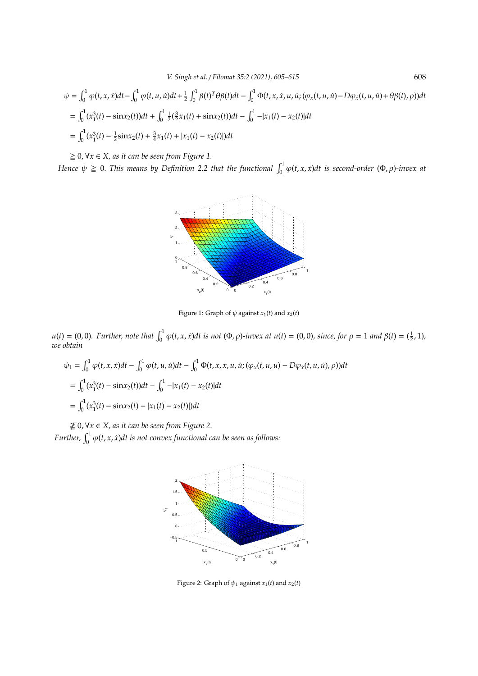$$
\psi = \int_0^1 \varphi(t, x, \dot{x}) dt - \int_0^1 \varphi(t, u, \dot{u}) dt + \frac{1}{2} \int_0^1 \beta(t)^T \theta \beta(t) dt - \int_0^1 \Phi(t, x, \dot{x}, u, \dot{u}; (\varphi_x(t, u, \dot{u}) - D\varphi_x(t, u, \dot{u}) + \theta \beta(t), \rho)) dt
$$
  
\n
$$
= \int_0^1 (x_1^3(t) - \sin x_2(t)) dt + \int_0^1 \frac{1}{2} (\frac{3}{2}x_1(t) + \sin x_2(t)) dt - \int_0^1 -|x_1(t) - x_2(t)| dt
$$
  
\n
$$
= \int_0^1 (x_1^3(t) - \frac{1}{2} \sin x_2(t) + \frac{3}{4}x_1(t) + |x_1(t) - x_2(t)|) dt
$$

# $≥ 0, √*x* ∈ *X*, as it can be seen from Figure 1.$

*Hence*  $\psi \ge 0$ . *This means by Definition 2.2 that the functional*  $\int_0^1 \varphi(t, x, \dot{x}) dt$  is second-order  $(\Phi, \rho)$ -invex at



Figure 1: Graph of  $\psi$  against  $x_1(t)$  and  $x_2(t)$ 

 $u(t) = (0,0)$ . Further, note that  $\int_0^1 \varphi(t, x, \dot{x}) dt$  is not  $(\Phi, \rho)$ -invex at  $u(t) = (0,0)$ , since, for  $\rho = 1$  and  $\beta(t) = (\frac{1}{2}, 1)$ , *we obtain*

$$
\psi_1 = \int_0^1 \varphi(t, x, \dot{x}) dt - \int_0^1 \varphi(t, u, \dot{u}) dt - \int_0^1 \Phi(t, x, \dot{x}, u, \dot{u}; (\varphi_x(t, u, \dot{u}) - D\varphi_x(t, u, \dot{u}), \rho)) dt
$$
  
\n
$$
= \int_0^1 (x_1^3(t) - \sin x_2(t)) dt - \int_0^1 -|x_1(t) - x_2(t)| dt
$$
  
\n
$$
= \int_0^1 (x_1^3(t) - \sin x_2(t) + |x_1(t) - x_2(t)|) dt
$$

0, ∀*x* ∈ *X, as it can be seen from Figure 2.*

Further,  $\int_0^1 \varphi(t,x,\dot{x}) dt$  is not convex functional can be seen as follows:



Figure 2: Graph of  $\psi_1$  against  $x_1(t)$  and  $x_2(t)$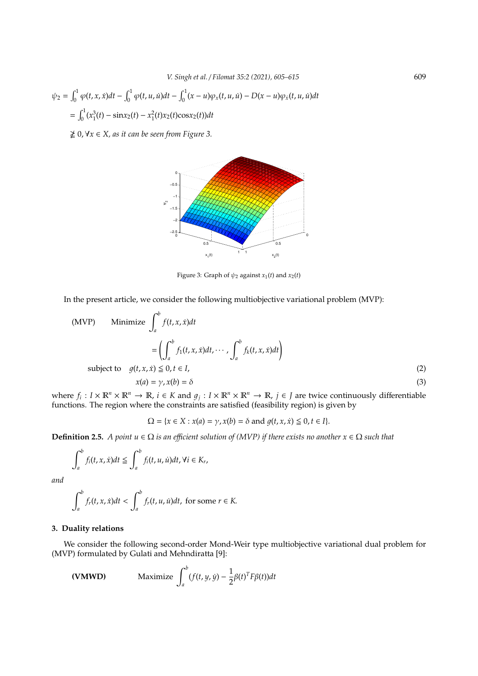$$
\psi_2 = \int_0^1 \varphi(t, x, \dot{x}) dt - \int_0^1 \varphi(t, u, \dot{u}) dt - \int_0^1 (x - u) \varphi_x(t, u, \dot{u}) - D(x - u) \varphi_x(t, u, \dot{u}) dt
$$
  
= 
$$
\int_0^1 (x_1^3(t) - \sin x_2(t) - x_1^2(t) x_2(t) \cos x_2(t)) dt
$$

0, ∀*x* ∈ *X, as it can be seen from Figure 3.*



Figure 3: Graph of  $\psi_2$  against  $x_1(t)$  and  $x_2(t)$ 

In the present article, we consider the following multiobjective variational problem (MVP):

(MVP) Minimize 
$$
\int_a^b f(t, x, \dot{x}) dt
$$
  
\n
$$
= \left( \int_a^b f_1(t, x, \dot{x}) dt, \cdots, \int_a^b f_k(t, x, \dot{x}) dt \right)
$$
\nsubject to  $g(t, x, \dot{x}) \leq 0, t \in I,$   
\n $x(a) = \gamma, x(b) = \delta$  (3)

where  $f_i$  :  $I \times \mathbb{R}^n \times \mathbb{R}^n \to \mathbb{R}$ ,  $i \in K$  and  $g_j$  :  $I \times \mathbb{R}^n \times \mathbb{R}^n \to \mathbb{R}$ ,  $j \in J$  are twice continuously differentiable functions. The region where the constraints are satisfied (feasibility region) is given by

$$
\Omega = \{x \in X : x(a) = \gamma, x(b) = \delta \text{ and } g(t, x, \dot{x}) \leq 0, t \in I\}.
$$

**Definition 2.5.** *A point u* ∈ Ω *is an efficient solution of (MVP) if there exists no another*  $x ∈ Ω$  *such that* 

$$
\int_a^b f_i(t,x,\dot{x})dt \leq \int_a^b f_i(t,u,\dot{u})dt, \forall i \in K_r,
$$

*and*

$$
\int_a^b f_r(t,x,\dot{x})dt < \int_a^b f_r(t,u,\dot{u})dt, \text{ for some } r \in K.
$$

# **3. Duality relations**

We consider the following second-order Mond-Weir type multiobjective variational dual problem for (MVP) formulated by Gulati and Mehndiratta [9]:

(VMWD) Maximize 
$$
\int_a^b (f(t, y, \dot{y}) - \frac{1}{2}\beta(t)^T F\beta(t))dt
$$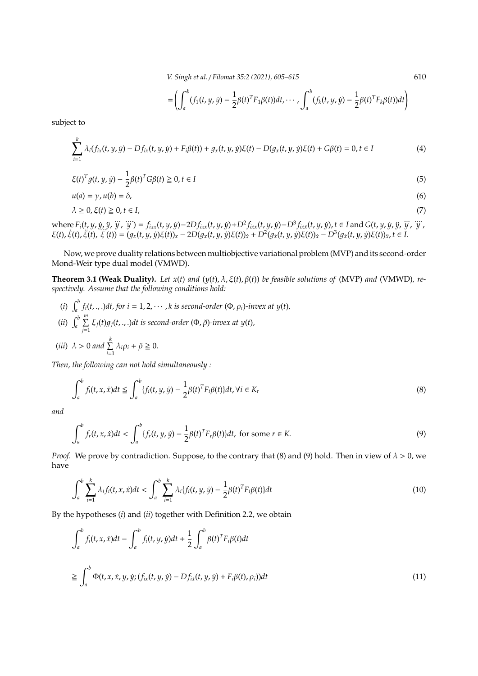*V. Singh et al.* / *Filomat 35:2 (2021), 605–615* 610

$$
= \left( \int_a^b (f_1(t,y,y) - \frac{1}{2}\beta(t)^T F_1\beta(t))dt, \cdots, \int_a^b (f_k(t,y,y) - \frac{1}{2}\beta(t)^T F_k\beta(t))dt \right)
$$

subject to

$$
\sum_{i=1}^{k} \lambda_i (f_{ix}(t, y, \dot{y}) - Df_{ix}(t, y, \dot{y}) + F_i \beta(t)) + g_x(t, y, \dot{y}) \xi(t) - D(g_x(t, y, \dot{y}) \xi(t) + G\beta(t)) = 0, t \in I
$$
\n(4)

$$
\xi(t)^T g(t, y, \dot{y}) - \frac{1}{2} \beta(t)^T G \beta(t) \ge 0, t \in I
$$
\n
$$
(5)
$$

$$
u(a) = \gamma, u(b) = \delta,\tag{6}
$$

$$
\lambda \geq 0, \xi(t) \geq 0, t \in I,\tag{7}
$$

where  $F_i(t, y, \dot{y}, \dddot{y}, \dddot{y}, \dddot{y}) = f_{ixx}(t, y, \dot{y}) - 2Df_{ixx}(t, y, \dot{y}) + D^2f_{ixx}(t, y, \dot{y}) - D^3f_{ixx}(t, y, \dot{y}), t \in I$  and  $G(t, y, \dot{y}, \dddot{y}, \dddot{y}, \dddot{y}, \dddot{y})$ where  $F_i(t, y, y, y, y, y') = J_{ixx}(t, y, y) - 2DJ_{ixx}(t, y, y) + D'J_{ixx}(t, y, y) - D'J_{ixx}(t, y, y), t \in T$  and  $G(t, y, y, y, y, y)$ <br>  $\xi(t), \xi(t), \xi(t), \xi(t)) = (g_x(t, y, y)\xi(t))_x - 2D(g_x(t, y, y)\xi(t))_x + D^2(g_x(t, y, y)\xi(t))_x - D^3(g_x(t, y, y)\xi(t))_x, t \in I$ .

Now, we prove duality relations between multiobjective variational problem (MVP) and its second-order Mond-Weir type dual model (VMWD).

**Theorem 3.1 (Weak Duality).** *Let x*(*t*) *and* (*y*(*t*), λ, ξ(*t*), β(*t*)) *be feasible solutions of* (MVP) *and* (VMWD)*, respectively. Assume that the following conditions hold:*

(*i*)  $\int_a^b f_i(t, \cdot, \cdot) dt$ , for  $i = 1, 2, \cdots, k$  is second-order  $(\Phi, \rho_i)$ -invex at  $y(t)$ ,  $(iii)$   $\int_a^b \sum_{i=1}^m$  $\sum_{j=1}$   $\xi_j(t)g_j(t,.,.)$ dt is second-order (Φ,  $\breve{\rho}$ )*-invex at y(t)*, (*iii*)  $\lambda > 0$  and  $\sum_{k=1}^{k}$  $\sum_{i=1}^{n} \lambda_i \rho_i + \breve{\rho} \geq 0.$ 

*Then, the following can not hold simultaneously :*

$$
\int_{a}^{b} f_i(t, x, \dot{x}) dt \leq \int_{a}^{b} \{f_i(t, y, \dot{y}) - \frac{1}{2} \beta(t)^T F_i \beta(t) \} dt, \forall i \in K_r
$$
\n(8)

*and*

$$
\int_{a}^{b} f_r(t, x, \dot{x})dt < \int_{a}^{b} \{f_r(t, y, \dot{y}) - \frac{1}{2}\beta(t)^T F_r \beta(t)\} dt, \text{ for some } r \in K. \tag{9}
$$

*Proof.* We prove by contradiction. Suppose, to the contrary that (8) and (9) hold. Then in view of  $\lambda > 0$ , we have

$$
\int_{a}^{b} \sum_{i=1}^{k} \lambda_{i} f_{i}(t, x, \dot{x}) dt < \int_{a}^{b} \sum_{i=1}^{k} \lambda_{i} \{f_{i}(t, y, \dot{y}) - \frac{1}{2} \beta(t)^{T} F_{i} \beta(t) \} dt
$$
\n(10)

By the hypotheses (*i*) and (*ii*) together with Definition 2.2, we obtain

$$
\int_{a}^{b} f_i(t, x, \dot{x})dt - \int_{a}^{b} f_i(t, y, \dot{y})dt + \frac{1}{2} \int_{a}^{b} \beta(t)^T F_i \beta(t)dt
$$
\n
$$
\geq \int_{a}^{b} \Phi(t, x, \dot{x}, y, \dot{y}; (f_{ix}(t, y, \dot{y}) - Df_{ix}(t, y, \dot{y}) + F_i \beta(t), \rho_i))dt
$$
\n(11)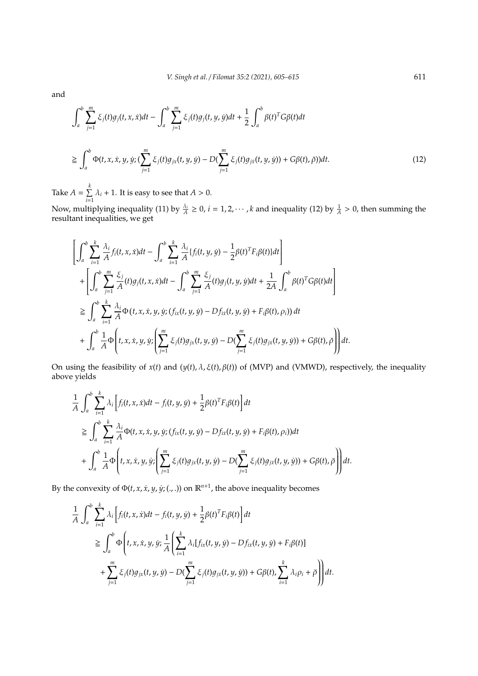and

$$
\int_{a}^{b} \sum_{j=1}^{m} \xi_{j}(t)g_{j}(t,x,\dot{x})dt - \int_{a}^{b} \sum_{j=1}^{m} \xi_{j}(t)g_{j}(t,y,\dot{y})dt + \frac{1}{2} \int_{a}^{b} \beta(t)^{T}G\beta(t)dt
$$
\n
$$
\geq \int_{a}^{b} \Phi(t,x,\dot{x},y,\dot{y};(\sum_{j=1}^{m} \xi_{j}(t)g_{j\dot{x}}(t,y,\dot{y}) - D(\sum_{j=1}^{m} \xi_{j}(t)g_{j\dot{x}}(t,y,\dot{y})) + G\beta(t),\check{\rho}))dt.
$$
\n(12)

Take  $A = \sum_{k=1}^{k} A_k$  $\sum_{i=1} \lambda_i + 1$ . It is easy to see that *A* > 0.

Now, multiplying inequality (11) by  $\frac{\lambda_i}{A} \ge 0$ ,  $i = 1, 2, \dots$ , k and inequality (12) by  $\frac{1}{A} > 0$ , then summing the resultant inequalities, we get

$$
\left[\int_{a}^{b} \sum_{i=1}^{k} \frac{\lambda_{i}}{A} f_{i}(t,x,\dot{x})dt - \int_{a}^{b} \sum_{i=1}^{k} \frac{\lambda_{i}}{A} \{f_{i}(t,y,\dot{y}) - \frac{1}{2}\beta(t)^{T}F_{i}\beta(t)\}dt\right] + \left[\int_{a}^{b} \sum_{j=1}^{m} \frac{\xi_{j}}{A}(t)g_{j}(t,x,\dot{x})dt - \int_{a}^{b} \sum_{j=1}^{m} \frac{\xi_{j}}{A}(t)g_{j}(t,y,\dot{y})dt + \frac{1}{2A} \int_{a}^{b} \beta(t)^{T}G\beta(t)dt\right] \n\geq \int_{a}^{b} \sum_{i=1}^{k} \frac{\lambda_{i}}{A}\Phi(t,x,\dot{x},y,\dot{y};(f_{ix}(t,y,\dot{y}) - Df_{ix}(t,y,\dot{y}) + F_{i}\beta(t),\rho_{i}))dt + \int_{a}^{b} \frac{1}{A}\Phi\left(t,x,\dot{x},y,\dot{y};(\sum_{j=1}^{m} \xi_{j}(t)g_{j\dot{x}}(t,y,\dot{y}) - D(\sum_{j=1}^{m} \xi_{j}(t)g_{j\dot{x}}(t,y,\dot{y})) + G\beta(t),\ddot{\rho})\right)dt.
$$

On using the feasibility of *x*(*t*) and (*y*(*t*), λ, ξ(*t*), β(*t*)) of (MVP) and (VMWD), respectively, the inequality above yields

$$
\frac{1}{A} \int_{a}^{b} \sum_{i=1}^{k} \lambda_{i} \left[ f_{i}(t, x, \dot{x})dt - f_{i}(t, y, \dot{y}) + \frac{1}{2} \beta(t)^{T} F_{i} \beta(t) \right] dt
$$
\n
$$
\geq \int_{a}^{b} \sum_{i=1}^{k} \frac{\lambda_{i}}{A} \Phi(t, x, \dot{x}, y, \dot{y}; (f_{ix}(t, y, \dot{y}) - Df_{ix}(t, y, \dot{y}) + F_{i} \beta(t), \rho_{i}) dt
$$
\n
$$
+ \int_{a}^{b} \frac{1}{A} \Phi\left(t, x, \dot{x}, y, \dot{y}; \left( \sum_{j=1}^{m} \xi_{j}(t) g_{jx}(t, y, \dot{y}) - D(\sum_{j=1}^{m} \xi_{j}(t) g_{j\dot{x}}(t, y, \dot{y})) + G\beta(t), \ddot{\rho} \right) dt.
$$

By the convexity of  $\Phi(t, x, \dot{x}, y, \dot{y}; (., .))$  on  $\mathbb{R}^{n+1}$ , the above inequality becomes

$$
\frac{1}{A} \int_{a}^{b} \sum_{i=1}^{k} \lambda_{i} \Big[ f_{i}(t, x, \dot{x})dt - f_{i}(t, y, \dot{y}) + \frac{1}{2} \beta(t)^{T} F_{i} \beta(t) \Big] dt
$$
\n
$$
\geq \int_{a}^{b} \Phi \Big( t, x, \dot{x}, y, \dot{y}; \frac{1}{A} \Big( \sum_{i=1}^{k} \lambda_{i} [f_{i x}(t, y, \dot{y}) - Df_{i x}(t, y, \dot{y}) + F_{i} \beta(t) ] + \sum_{j=1}^{m} \xi_{j}(t) g_{j x}(t, y, \dot{y}) - D(\sum_{j=1}^{m} \xi_{j}(t) g_{j x}(t, y, \dot{y})) + G \beta(t), \sum_{i=1}^{k} \lambda_{i} \rho_{i} + \check{\rho} \Big) dt.
$$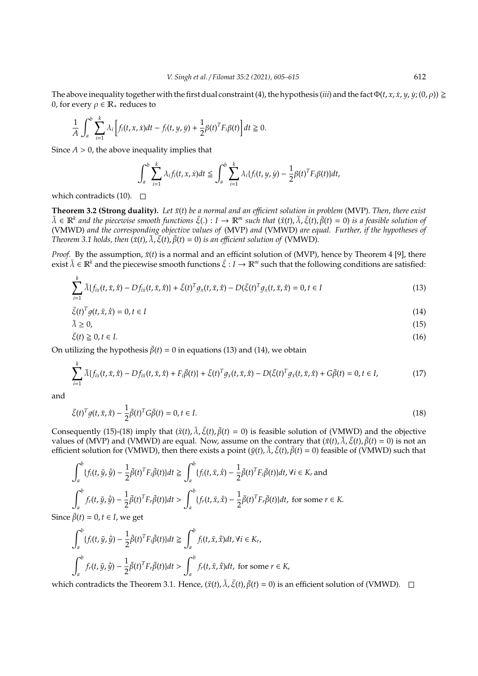The above inequality together with the first dual constraint (4), the hypothesis (*iii*) and the fact  $\Phi(t, x, \dot{x}, y, \dot{y}; (0, \rho)) \ge$ 0, for every  $\rho \in \mathbb{R}_+$  reduces to

$$
\frac{1}{A} \int_a^b \sum_{i=1}^k \lambda_i \left[ f_i(t, x, \dot{x}) dt - f_i(t, y, \dot{y}) + \frac{1}{2} \beta(t)^T F_i \beta(t) \right] dt \ge 0.
$$

Since  $A > 0$ , the above inequality implies that

$$
\int_a^b \sum_{i=1}^k \lambda_i f_i(t, x, \dot{x}) dt \leq \int_a^b \sum_{i=1}^k \lambda_i \{f_i(t, y, \dot{y}) - \frac{1}{2} \beta(t)^T F_i \beta(t) \} dt,
$$

which contradicts (10).  $\Box$ 

*k*

*k*

**Theorem 3.2 (Strong duality).** Let  $\bar{x}(t)$  be a normal and an efficient solution in problem (MVP). Then, there exist  $\bar{\lambda} \in \mathbb{R}^k$  and the piecewise smooth functions  $\bar{\xi}(\cdot): I \to \mathbb{R}^m$  such that  $(\bar{x}(t), \bar{\lambda}, \bar{\xi}(t), \bar{\beta}(t) = 0)$  is a feasible solution of (VMWD) *and the corresponding objective values of* (MVP) *and* (VMWD) *are equal. Further, if the hypotheses of Theorem 3.1 holds, then* ( $\bar{x}(t)$ ,  $\bar{\lambda}$ ,  $\bar{\xi}(t)$ ,  $\bar{\beta}(t) = 0$ ) *is an efficient solution of* (VMWD).

*Proof.* By the assumption,  $\bar{x}(t)$  is a normal and an efficint solution of (MVP), hence by Theorem 4 [9], there exist  $\bar{\lambda} \in \mathbb{R}^k$  and the piecewise smooth functions  $\bar{\xi}: I \to \mathbb{R}^m$  such that the following conditions are satisfied:

$$
\sum_{i=1}^{k} \bar{\lambda} \{ f_{ix}(t, \bar{x}, \dot{\bar{x}}) - D f_{ix}(t, \bar{x}, \dot{\bar{x}}) \} + \bar{\xi}(t)^T g_x(t, \bar{x}, \dot{\bar{x}}) - D (\bar{\xi}(t)^T g_x(t, \bar{x}, \dot{\bar{x}})) = 0, t \in I
$$
\n(13)

$$
\bar{\xi}(t)^T g(t, \bar{x}, \dot{\bar{x}}) = 0, t \in I
$$
\n(14)

$$
\bar{\lambda} \ge 0,\tag{15}
$$

$$
\bar{\xi}(t) \ge 0, t \in I. \tag{16}
$$

On utilizing the hypothesis  $\bar{\beta}(t) = 0$  in equations (13) and (14), we obtain

$$
\sum_{i=1}^{k} \bar{\lambda} \{ f_{ix}(t, \bar{x}, \dot{\bar{x}}) - D f_{ix}(t, \bar{x}, \dot{\bar{x}}) + F_{i} \bar{\beta}(t) \} + \bar{\xi}(t)^{T} g_{x}(t, \bar{x}, \dot{\bar{x}}) - D(\bar{\xi}(t)^{T} g_{\dot{x}}(t, \bar{x}, \dot{\bar{x}}) + G \bar{\beta}(t) = 0, t \in I,
$$
\n(17)

and

$$
\bar{\xi}(t)^T g(t, \bar{x}, \dot{\bar{x}}) - \frac{1}{2} \bar{\beta}(t)^T G \bar{\beta}(t) = 0, t \in I.
$$
\n(18)

Consequently (15)-(18) imply that  $(\bar{x}(t), \bar{\lambda}, \bar{\xi}(t), \bar{\beta}(t) = 0)$  is feasible solution of (VMWD) and the objective values of (MVP) and (VMWD) are equal. Now, assume on the contrary that  $(\bar{x}(t), \bar{\lambda}, \bar{\xi}(t), \bar{\beta}(t) = 0)$  is not an efficient solution for (VMWD), then there exists a point  $(\tilde{y}(t), \tilde{\lambda}, \tilde{\xi}(t), \tilde{\beta}(t) = 0)$  feasible of (VMWD) such that

$$
\int_{a}^{b} \{f_i(t, \tilde{y}, \dot{\tilde{y}}) - \frac{1}{2}\tilde{\beta}(t)^T F_i \tilde{\beta}(t)\} dt \ge \int_{a}^{b} \{f_i(t, \tilde{x}, \dot{\tilde{x}}) - \frac{1}{2}\tilde{\beta}(t)^T F_i \tilde{\beta}(t)\} dt, \forall i \in K_r \text{ and}
$$

$$
\int_{a}^{b} f_r(t, \tilde{y}, \dot{\tilde{y}}) - \frac{1}{2}\tilde{\beta}(t)^T F_r \tilde{\beta}(t)\} dt > \int_{a}^{b} \{f_r(t, \tilde{x}, \dot{\tilde{x}}) - \frac{1}{2}\tilde{\beta}(t)^T F_r \tilde{\beta}(t)\} dt, \text{ for some } r \in K.
$$

Since  $\bar{\beta}(t) = 0, t \in I$ , we get

$$
\int_{a}^{b} \{f_i(t, \tilde{y}, \dot{\tilde{y}}) - \frac{1}{2}\tilde{\beta}(t)^T F_i \tilde{\beta}(t)\} dt \ge \int_{a}^{b} f_i(t, \tilde{x}, \dot{\tilde{x}}) dt, \forall i \in K_r,
$$
  

$$
\int_{a}^{b} f_r(t, \tilde{y}, \dot{\tilde{y}}) - \frac{1}{2}\tilde{\beta}(t)^T F_r \tilde{\beta}(t)\} dt > \int_{a}^{b} f_r(t, \bar{x}, \dot{\tilde{x}}) dt, \text{ for some } r \in K,
$$

which contradicts the Theorem 3.1. Hence,  $(\bar{x}(t), \bar{\lambda}, \bar{\xi}(t), \bar{\beta}(t) = 0)$  is an efficient solution of (VMWD).  $\square$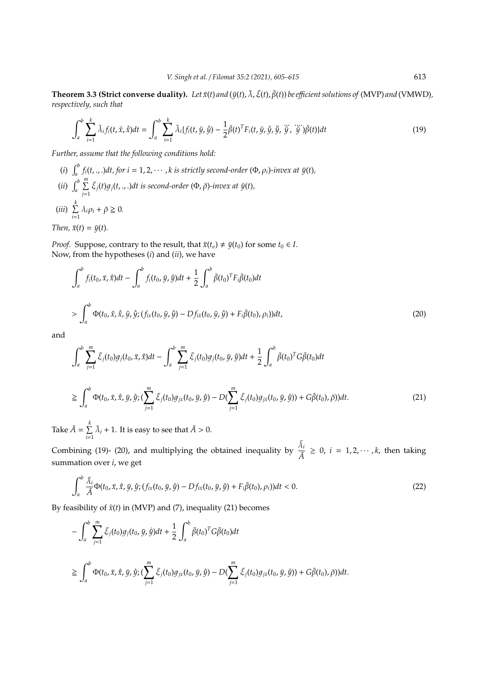**Theorem 3.3 (Strict converse duality).** *Let*  $\bar{x}(t)$  *and* ( $\bar{y}(t)$ ,  $\bar{\lambda}$ ,  $\bar{\xi}(t)$ ,  $\bar{\beta}(t)$ ) *be efficient solutions of* (MVP) *and* (VMWD), *respectively, such that*

$$
\int_{a}^{b} \sum_{i=1}^{k} \bar{\lambda}_{i} f_{i}(t, \bar{x}, \dot{\bar{x}}) dt = \int_{a}^{b} \sum_{i=1}^{k} \bar{\lambda}_{i} \{f_{i}(t, \bar{y}, \dot{\bar{y}}) - \frac{1}{2} \bar{\beta}(t)^{T} F_{i}(t, \bar{y}, \dot{\bar{y}}, \ddot{\bar{y}}, \ddot{\bar{y}}, \ddot{\bar{y}}) \bar{\beta}(t)\} dt
$$
(19)

*Further, assume that the following conditions hold:*

(*i*)  $\int_a^b f_i(t, \cdot, \cdot) dt$ , for  $i = 1, 2, \cdots, k$  is strictly second-order  $(\Phi, \rho_i)$ -invex at  $\bar{y}(t)$ ,  $(iii)$   $\int_a^b \sum_{i=1}^m$  $\sum_{j=1}^{n} \bar{\xi}_j(t) g_j(t,..) dt$  is second-order  $(\Phi, \check{\rho})$ -invex at  $\bar{y}(t)$ *,* (*iii*)  $\sum_{i=1}^{k}$  $\sum_{i=1}^{n} \lambda_i \rho_i + \breve{\rho} \geq 0.$ 

*Then,*  $\bar{x}(t) = \bar{y}(t)$ *.* 

*Proof.* Suppose, contrary to the result, that  $\bar{x}(t_o) \neq \bar{y}(t_0)$  for some  $t_0 \in I$ . Now, from the hypotheses (*i*) and (*ii*), we have

$$
\int_{a}^{b} f_{i}(t_{0}, \bar{x}, \dot{\bar{x}})dt - \int_{a}^{b} f_{i}(t_{0}, \bar{y}, \dot{\bar{y}})dt + \frac{1}{2} \int_{a}^{b} \bar{\beta}(t_{0})^{T} F_{i}\bar{\beta}(t_{0})dt
$$
\n
$$
> \int_{a}^{b} \Phi(t_{0}, \bar{x}, \dot{\bar{x}}, \bar{y}, \dot{\bar{y}}; (f_{ix}(t_{0}, \bar{y}, \dot{\bar{y}}) - Df_{ix}(t_{0}, \bar{y}, \dot{\bar{y}}) + F_{i}\bar{\beta}(t_{0}), \rho_{i}))dt,
$$
\n(20)

and

 $\overline{a}$ 

$$
\int_{a}^{b} \sum_{j=1}^{m} \bar{\xi}_{j}(t_{0}) g_{j}(t_{0}, \bar{x}, \dot{\bar{x}}) dt - \int_{a}^{b} \sum_{j=1}^{m} \bar{\xi}_{j}(t_{0}) g_{j}(t_{0}, \bar{y}, \dot{\bar{y}}) dt + \frac{1}{2} \int_{a}^{b} \bar{\beta}(t_{0})^{T} G \bar{\beta}(t_{0}) dt
$$
\n
$$
\geq \int_{a}^{b} \Phi(t_{0}, \bar{x}, \dot{\bar{x}}, \bar{y}, \dot{\bar{y}}; (\sum_{j=1}^{m} \bar{\xi}_{j}(t_{0}) g_{j\bar{x}}(t_{0}, \bar{y}, \dot{\bar{y}}) - D(\sum_{j=1}^{m} \bar{\xi}_{j}(t_{0}) g_{j\bar{x}}(t_{0}, \bar{y}, \dot{\bar{y}})) + G \bar{\beta}(t_{0}), \breve{\rho})) dt.
$$
\n(21)

Take  $\bar{A} = \sum_{k=1}^{k}$  $\sum_{i=1}^{n} \bar{\lambda}_i + 1$ . It is easy to see that  $\bar{A} > 0$ .

Combining (19)- (20), and multiplying the obtained inequality by  $\frac{\bar{\lambda}_i}{\bar{\lambda}}$  $\frac{\lambda_i}{\bar{A}} \geq 0$ ,  $i = 1, 2, \dots, k$ , then taking summation over *i*, we get

$$
\int_{a}^{b} \frac{\bar{\lambda}_{i}}{\bar{A}} \Phi(t_{0}, \bar{x}, \dot{\bar{x}}, \bar{y}, \dot{\bar{y}}; (f_{ix}(t_{0}, \bar{y}, \dot{\bar{y}}) - Df_{ix}(t_{0}, \bar{y}, \dot{\bar{y}}) + F_{i}\bar{\beta}(t_{0}), \rho_{i}))dt < 0.
$$
\n(22)

By feasibility of  $\bar{x}(t)$  in (MVP) and (7), inequality (21) becomes

$$
- \int_{a}^{b} \sum_{j=1}^{m} \bar{\xi}_{j}(t_{0}) g_{j}(t_{0}, \bar{y}, \dot{\bar{y}}) dt + \frac{1}{2} \int_{a}^{b} \bar{\beta}(t_{0})^{T} G \bar{\beta}(t_{0}) dt
$$
  
\n
$$
\geq \int_{a}^{b} \Phi(t_{0}, \bar{x}, \dot{\bar{x}}, \bar{y}, \dot{\bar{y}}; (\sum_{j=1}^{m} \bar{\xi}_{j}(t_{0}) g_{j\bar{x}}(t_{0}, \bar{y}, \dot{\bar{y}}) - D (\sum_{j=1}^{m} \bar{\xi}_{j}(t_{0}) g_{j\bar{x}}(t_{0}, \bar{y}, \dot{\bar{y}})) + G \bar{\beta}(t_{0}), \check{\rho})) dt.
$$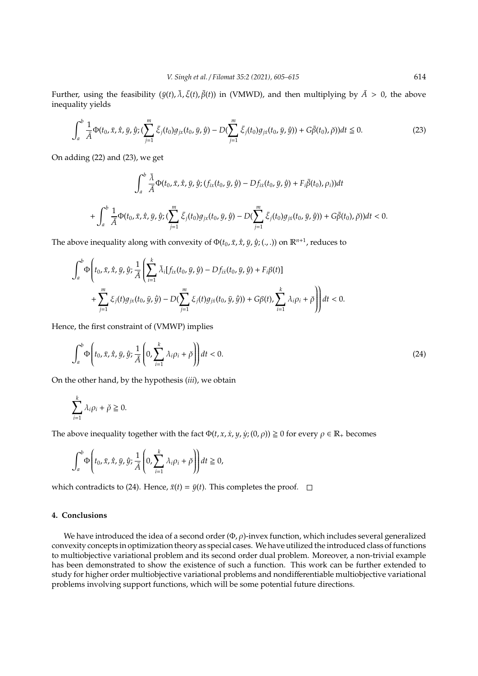Further, using the feasibility ( $\bar{y}(t)$ ,  $\bar{\lambda}$ ,  $\bar{\xi}(t)$ ,  $\bar{\beta}(t)$ ) in (VMWD), and then multiplying by  $\bar{A} > 0$ , the above inequality yields

$$
\int_{a}^{b} \frac{1}{\bar{A}} \Phi(t_0, \bar{x}, \dot{x}, \bar{y}, \dot{y}; (\sum_{j=1}^{m} \bar{\xi}_j(t_0) g_{jx}(t_0, \bar{y}, \dot{y}) - D(\sum_{j=1}^{m} \bar{\xi}_j(t_0) g_{jx}(t_0, \bar{y}, \dot{y})) + G\bar{\beta}(t_0), \breve{\rho}))dt \leq 0.
$$
 (23)

On adding (22) and (23), we get

$$
\int_{a}^{b} \frac{\bar{\lambda}}{\bar{A}} \Phi(t_{0}, \bar{x}, \dot{\bar{x}}, \bar{y}, \dot{\bar{y}}; (f_{ix}(t_{0}, \bar{y}, \dot{\bar{y}}) - Df_{ix}(t_{0}, \bar{y}, \dot{\bar{y}}) + F_{i}\bar{\beta}(t_{0}), \rho_{i}))dt
$$
  
+ 
$$
\int_{a}^{b} \frac{1}{\bar{A}} \Phi(t_{0}, \bar{x}, \dot{\bar{x}}, \bar{y}, \dot{\bar{y}}; (\sum_{j=1}^{m} \bar{\xi}_{j}(t_{0})g_{j\bar{x}}(t_{0}, \bar{y}, \dot{\bar{y}}) - D(\sum_{j=1}^{m} \bar{\xi}_{j}(t_{0})g_{j\bar{x}}(t_{0}, \bar{y}, \dot{\bar{y}})) + G\bar{\beta}(t_{0}), \breve{\rho}))dt < 0.
$$

The above inequality along with convexity of  $\Phi(t_0, \bar{x}, \dot{x}, \bar{y}, \dot{y}; (., .))$  on  $\mathbb{R}^{n+1}$ , reduces to

$$
\int_{a}^{b} \Phi\left(t_{0}, \bar{x}, \dot{\bar{x}}, \bar{y}, \dot{\bar{y}}; \frac{1}{\bar{A}}\left(\sum_{i=1}^{k} \bar{\lambda}_{i} [f_{ix}(t_{0}, \bar{y}, \dot{\bar{y}}) - Df_{ix}(t_{0}, \bar{y}, \dot{\bar{y}}) + F_{i}\beta(t)] + \sum_{j=1}^{m} \xi_{j}(t)g_{j\bar{x}}(t_{0}, \bar{y}, \dot{\bar{y}}) - D(\sum_{j=1}^{m} \xi_{j}(t)g_{j\bar{x}}(t_{0}, \bar{y}, \dot{\bar{y}})) + G\beta(t), \sum_{i=1}^{k} \lambda_{i}\rho_{i} + \check{\rho}\right)\right) dt < 0.
$$

Hence, the first constraint of (VMWP) implies

$$
\int_{a}^{b} \Phi\left(t_{0}, \bar{x}, \dot{\bar{x}}, \bar{y}, \dot{\bar{y}}; \frac{1}{\bar{A}}\left(0, \sum_{i=1}^{k} \lambda_{i} \rho_{i} + \breve{\rho}\right)\right) dt < 0.
$$
\n(24)

On the other hand, by the hypothesis (*iii*), we obtain

$$
\sum_{i=1}^k \lambda_i \rho_i + \breve{\rho} \geq 0.
$$

The above inequality together with the fact  $\Phi(t, x, \dot{x}, y, \dot{y}; (0, \rho)) \ge 0$  for every  $\rho \in \mathbb{R}_+$  becomes

$$
\int_a^b \Phi\left(t_0, \bar{x}, \dot{\bar{x}}, \bar{y}, \dot{\bar{y}}; \frac{1}{\bar{A}}\left(0, \sum_{i=1}^k \lambda_i \rho_i + \breve{\rho}\right)\right) dt \ge 0,
$$

which contradicts to (24). Hence,  $\bar{x}(t) = \bar{y}(t)$ . This completes the proof.  $\Box$ 

# **4. Conclusions**

We have introduced the idea of a second order  $(\Phi, \rho)$ -invex function, which includes several generalized convexity concepts in optimization theory as special cases. We have utilized the introduced class of functions to multiobjective variational problem and its second order dual problem. Moreover, a non-trivial example has been demonstrated to show the existence of such a function. This work can be further extended to study for higher order multiobjective variational problems and nondifferentiable multiobjective variational problems involving support functions, which will be some potential future directions.